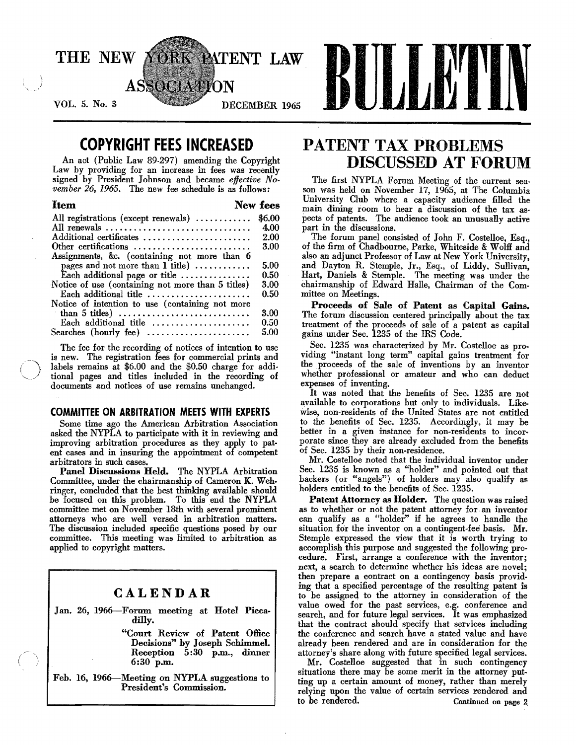

# **COPYRIGHT FEES INCREASED**

An act (Public Law 89.297) amending the Copyright Law by providing for an increase in fees was recently signed by President Johnson and became *effective November* 26, 1965. The new fee schedule is as follows:

| <b>Item</b>                                                            | New fees |
|------------------------------------------------------------------------|----------|
| All registrations (except renewals)                                    | \$6.00   |
| All renewals                                                           | 4.00     |
| Additional certificates                                                | 2.00     |
| Other certifications                                                   | 3.00     |
| Assignments, &c. (containing not more than 6                           |          |
| pages and not more than $1$ title)                                     | 5.00     |
| Each additional page or title                                          | 0.50     |
| Notice of use (containing not more than 5 titles)                      | 3.00     |
| Each additional title $\ldots, \ldots, \ldots, \ldots, \ldots$         | 0.50     |
| Notice of intention to use (containing not more                        |          |
| than 5 titles) $\dots \dots \dots \dots \dots \dots \dots \dots \dots$ | 3.00     |
| Each additional title                                                  | 0.50     |
| Searches (hourly fee) $\ldots$                                         | 5.00     |

The fee for the recording of notices of intention to use is new. The registration fees for commercial prints and labels remains at \$6.00 and the \$0.50 charge for additional pages and titles included in the recording of documents and notices of use remains unchanged.

### **COMMITTEE ON ARBITRATION MEETS WITH EXPERTS**

Some time ago the American Arbitration Association asked the NYPLA to participate with it in reviewing and improving arbitration procedures as they apply to patent cases and in insuring the appointment of competent arbitrators in such cases.

Panel Discussions Held. The NYPLA Arbitration Committee, under the chairmanship of Cameron K. Weh. ringer, concluded that the best thinking available should be focused on this problem. To this end the NYPLA committee met on November 18th with several prominent attorneys who are well versed in arbitration matters. The discussion included specific questions posed by our committee. This meeting was limited to arbitration as applied to copyright matters.

### **CALENDAR**

Jan. 26, 1966-Forum. meeting at Hotel Picca· dilly.

> "Court Review of Patent Office Decisions" by Joseph Schimmel. Reception 5:30 p.m., dinner 6:30 p.m.

Feb. 16, 1966-Meeting on NYPLA suggestions to President's Commission.

# **PATENT TAX PROBLEMS DISCUSSED AT FORUM**

The first NYPLA Forum Meeting of the current sea· son was held on November 17, 1965, at The Columbia University Club where a capacity audience filled the main dining room to hear a discussion of the tax aspects of patents. The audience took an unusually active part in the discussions.

The forum panel consisted of John F. Costelloe, Esq., of the firm of Chadbourne, Parke, Whiteside & Wolff and also an adjunct Professor of Law at New York University, and Dayton R. Stemple, Jr., Esq., of Liddy, Sullivan, Hart, Daniels & Stemple. The meeting was under the chairmanship of Edward Halle, Chairman of the Committee on Meetings.

Proceeds of Sale of Patent as Capital Gains. The forum discussion centered principally about the tax treatment of the proceeds of sale of a patent as capital gains under Sec. 1235 of the IRS Code.

Sec. 1235 was characterized by Mr. Costelloe as providing "instant long term" capital gains treatment for the proceeds of the sale of inventions by an inventor whether professional or amateur and who can deduct expenses of inventing.

It was noted that the benefits of Sec. 1235 are not available to corporations but only to individuals. Like· wise, non-residents of the United States are not entitled to the benefits of Sec. 1235. Accordingly, it may be better in a given instance for non-residents to incorporate since they are already excluded from the benefits of Sec. 1235 by their non-residence.

Mr. Costelloe noted that the individual inventor under Sec. 1235 is known as a "holder" and pointed out that backers (or "angels") of holders may also qualify as holders entitled to the benefits of Sec. 1235.

Patent Attorney as Holder. The question was raised as to whether or not the patent attorney for an inventor can qualify as a "holder" if he agrees to handle the situation for the inventor on a contingent-fee basis. Mr. Stemple expressed the view that it is worth trying to accomplish this purpose and suggested the following pro· cedure. First, arrange a conference with the inventor; next, a search to determine whether his ideas are novel; then prepare a contract on a contingency basis provid. ing that a specified percentage of the resulting patent is to be assigned to the attorney in consideration of the value owed for the past services, e.g. conference and search, and for future legal services. It was emphasized that the contract should specify that services including the conference and search have a stated value and have already been rendered and are in consideration for the attorney's share along with future specified legal services.

Mr. Costelloe suggested that in such contingency situations there may be some merit in the attorney put. ting up a certain amount of money, rather than merely relying upon the value of certain services rendered and to be rendered. Continued on page 2.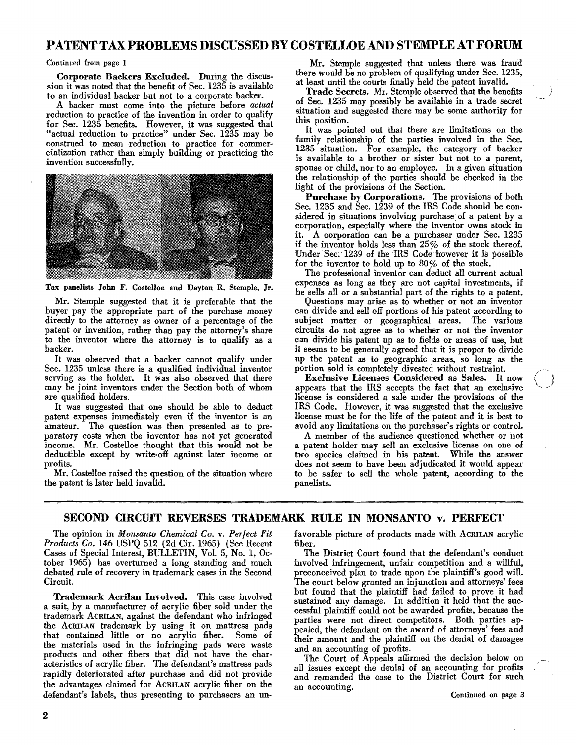## PATENTTAX PROBLEMS DISCUSSED BY COSTELLOE AND STEMPLE AT FORUM

#### Continued from page 1

Corporate Backers Excluded. During the discussion it was noted that the benefit of Sec. 1235 is available to an individual backer but not to a corporate backer.

A backer must come into the picture before *actual*  reduction to practice of the invention in order to qualify for Sec. 1235 benefits. However, it was suggested that "actual reduction to practice" under Sec. 1235 may be construed to mean reduction to practice for commer cialization rather than simply building or practicing the invention successfully.



Tax panelists John F. Costelloe and Dayton R. Stemple, Jr.

Mr. Stemple suggested that it is preferable that the buyer pay the appropriate part of the purchase money directly to the attorney as owner of a percentage of the patent or invention, rather than pay the attorney's share to the inventor where the attorney is to qualify as a backer.

It was observed that a backer cannot qualify under Sec. 1235 unless there is a qualified individual inventor serving as the holder. It was also observed that there may be joint inventors under the Section both of whom are qualified holders.

It was suggested that one should be able to deduct patent expenses immediately even if the inventor is an amateur. The question was then presented as to preparatory costs when the inventor has not yet generated income. Mr. Costelloe thought that this would not be deductible except by write-off against later income or profits.

Mr. Costelloe raised the question of the situation where the patent is later held invalid.

Mr. Stemple suggested that unless there was fraud there would be no problem of qualifying under Sec. 1235, at least until the courts finally held the patent invalid.

Trade Secrets. Mr. Stemple observed that the benefits of Sec. 1235 may possibly be available in a trade secret situation and suggested there may be some authority for this position.

It was pointed out that there are limitations on the family relationship of the parties involved in the Sec. 1235 situation. For example, the category of backer is available to a brother or sister but not to a parent, spouse or child, nor to an employee. In a given situation the relationship of the parties should be checked in the light of the provisions of the Section.

Purchase by Corporations. The provisions of both Sec. 1235 and Sec. 1239 of the IRS Code should be considered in situations involving purchase of a patent by a corporation, especially where the inventor owns stock in it. A corporation can be a purchaser under Sec. 1235 if the inventor holds less than  $25\%$  of the stock thereof. Under Sec. 1239 of the IRS Code however it is possible for the inventor to hold up to 80% of the stock.

The professional inventor can deduct all current actual expenses as long as they are not capital investments, if he sells all or a substantial part of the rights to a patent.

Questions may arise as to whether or not an inventor can divide and sell off portions of his patent according to subject matter or geographical areas. The various circuits do not agree as to whether or not the inventor can divide his patent up as to fields or areas of use, but it seems to be generally agreed that it is proper to divide up the patent as to geographic areas, so long as the portion sold is completely divested without restraint.

Exclusive Licenses Considered as Sales. It now appears that the IRS accepts the fact that an exclusive license is considered a sale under the provisions of the IRS Code. However, it was suggested that the exclusive license must be for the life of the patent and it is best to avoid any limitations on the purchaser's rights or control.

A member of the audience questioned whether or not a patent holder may sell an exclusive license on one of two species claimed in his patent. While the answer does not seem to have been adjudicated it would appear to be safer to sell the whole patent, according to the panelists.

### SECOND CIRCUIT REVERSES TRADEMARK RULE IN MONSANTO v. PERFECT

The opinion in *Monsanto Chemical Co.* v. *Perfect Fit Products Co.* 146 USPQ 512 (2d Cir. 1965) (See Recent Cases of Special Interest, BULLETIN, Vol. 5, No.1, October 1965) has overturned a long standing and much debated rule of recovery in trademark cases in the Second Circuit.

Trademark Acrilan Involved. This case involved a suit, by a manufacturer of acrylic fiber sold under the trademark ACRlLAN, against the defendant who infringed the ACRILAN trademark by using it on mattress pads that contained little or no acrylic fiber. Some of the materials used in the infringing pads were waste products and other fibers that did not have the characteristics of acrylic fiber. The defendant's mattress pads rapidly deteriorated after purchase and did not provide the advantages claimed for ACRILAN acrylic fiber on the defendant's labels, thus presenting to purchasers an unfavorable picture of products made with ACRlLAN acrylic fiber.

The District Court found that the defendant's conduct involved infringement, unfair competition and a willful, preconceived plan to trade upon the plaintiff's good will. The court below granted an injunction and attorneys' fees but found that the plaintiff had failed to prove it had sustained any damage. In addition it held that the successful plaintiff could not be awarded profits, because the parties were not direct competitors. Both parties appealed, the defendant on the award of attorneys' fees and their amount and the plaintiff on the denial of damages and an accounting of profits.

The Court of Appeals affirmed the decision below on all issues except the denial of an accounting for profits and remanded the case to the District Court for such an accounting. Continued on page 3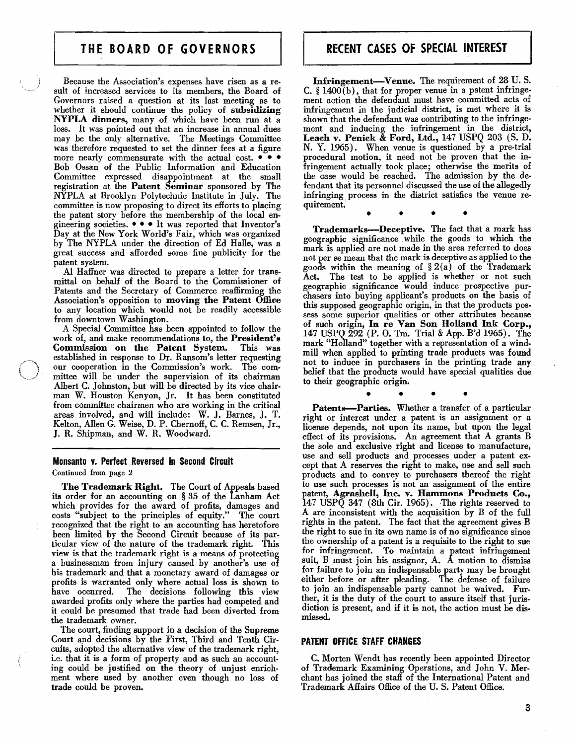## THE BOARD OF GOVERNORS

Because the Association's expenses have risen as a result of increased services to its members, the Board of Governors raised a question at its last meeting as to whether it should continue the policy of subsidizing NYPLA dinners, many of which have been run at a loss. It was pointed out that an increase in annual dues may be the only alternative. The Meetings Committee was therefore requested to set the dinner fees at a figure more nearly commensurate with the actual cost.  $\bullet \bullet \bullet$ Bob Ossan of the Public Information and Education Committee expressed disappointment at the small registration at the Patent Seminar sponsored by The NYPLA at Brooklyn Polytechnic Institute in July. The committee is now proposing to direct its efforts to placing the patent story before the membership of the local engineering societies. - - • It was reported that Inventor's Day at the New York World's Fair, which was organized by The NYPLA under the direction of Ed Halle, was a great success and afforded some fine publicity for the patent system.

AI Haffner was directed to prepare a letter for trans. mittal on behalf of the Board to the Commissioner of Patents and the Secretary of Commerce reaffirming the Association's opposition to moving the Patent Office to any location which would not be readily accessible from downtown Washington.

A Special Committee has been appointed to follow the work of, and make recommendations to, the President's Commission on the Patent System. This was Commission on the Patent System. established in response to Dr. Ransom's letter requesting our cooperation in the Commission's work. The com· mittee will be under the supervision of its chairman Albert C. Johnston, but will be directed by its vice chairman W. Houston Kenyon, Jr. It has been constituted from committee chairmen who are working in the critical areas involved, and will include: W. J. Barnes, J. T. Kelton, AIlen G. Weise, D. P. Chernoff, C. C. Remsen, Jr., J. R. Shipman, and W. R. Woodward.

#### Monsanto v. Perfect Reversed in Second Circuit

Continued from page 2

The Trademark Right. The Court of Appeals based its order for an accounting on § 35 of the Lanham Act which provides for the award of profits, damages and costs "subject to the principles of equity." The court recognized that the right to an accounting has heretofore been limited by the Second Circuit because of its particular view of the nature of the trademark right. This view is that the trademark right is a means of protecting a businessman from injury caused by another's use of his trademark and that a monetary award of damages or profits is warranted only where actual loss is shown to have occurred. The decisions following this view The decisions following this view awarded profits only where the parties had competed and it could be presumed that trade had been diverted from the trademark owner.

The court, finding support in a decision of the Supreme Court apd decisions by the First, Third and Tenth Circuits, adopted the alternative view of the trademark right, i.e. that it is a form of property and as such an account· ing could be justified on the theory of unjust enrich· ment where used by another even though no loss of trade could be proven.

Infringement-Venue. The requirement of 28 U.S. C. § 1400(b), that for proper venue in a patent infringe. ment action the defendant must have committed acts of infringement in the judicial district, is met where it is shown that the defendant was contributing to the infringement and inducing the infringement in the district, Leach v. Penick & Ford, Ltd., 147 USPQ 203 (S. D. N. Y. 1965). When venue is questioned by a pre-trial procedural motion, it need not be proven that the infringement actually took place; otherwise the merits of the case would be reached. The admission by the defendant that its personnel discussed the use of the allegedly infringing, process in the district satisfies the venue requirement.

•

irement.<br>
• • • • • •<br>
Trademarks—Deceptive. The fact that a mark has geographic. significance. while the gpods to which the mark is applied are not made in the area referred to does not per se mean that the mark is deceptive as applied to the goods within the meaning of  $\S 2(a)$  of the Trademark Act. The test to be applied is whether or not such geographic significance would induce prospective purchasers into buying applicant's products on the basis of this supposed geographic origin, in that the products possess some superior qualities or other attributes because of such origin, In re Van Son Holland Ink Corp., 147 USPQ 292 (P. O. Tm. Trial & App. B'd 1965). The mark "Holland" together with a representation of a windmill when applied to printing trade products was found not to induce in purchasers in the printing trade any belief that the products would have special qualities due to their geographic origin.

• • • Patents-Parties. Whether a transfer of a particular right or interest under a patent is an assignment or a license depends, not upon its name, but upon the legal effect of its provisions. An agreement that A grants B the sole and exclusive right and license to manufacture, use and sell products and processes under a patent except that A reserves the right to make, use and sell such products and to convey to purchasers thereof the right to use such processes is not an assignment of the entire patent, Agrashell, Inc. v. Hammons Products Co., 147 USP $\tilde{Q}$  347 (8th Cir. 1965). The rights reserved to A are inconsistent with the acquisition by B of the full rights in the patent. The fact that the agreement gives B the right to sue in its own name is of no significance since the ownership of a patent is a requisite to the right to sue for infringement. To maintain a patent infringement suit, B must join his assignor, A. A motion to dismiss for failure to join an indispensable party may be brought either before or after pleading. The defense of failure to join an indispensable party cannot be waived. Further, it is the duty of the court to assure itself that juris. diction is present, and if it is not, the action must be dismissed.

#### PATENT OFFICE STAFF CHANGES

C. Morten Wendt has recently been appointed Director of Trademark Examining Operations, and John V. Merchant has joined the staff of the International Patent and Trademark Affairs Office of the U. S. Patent Office.